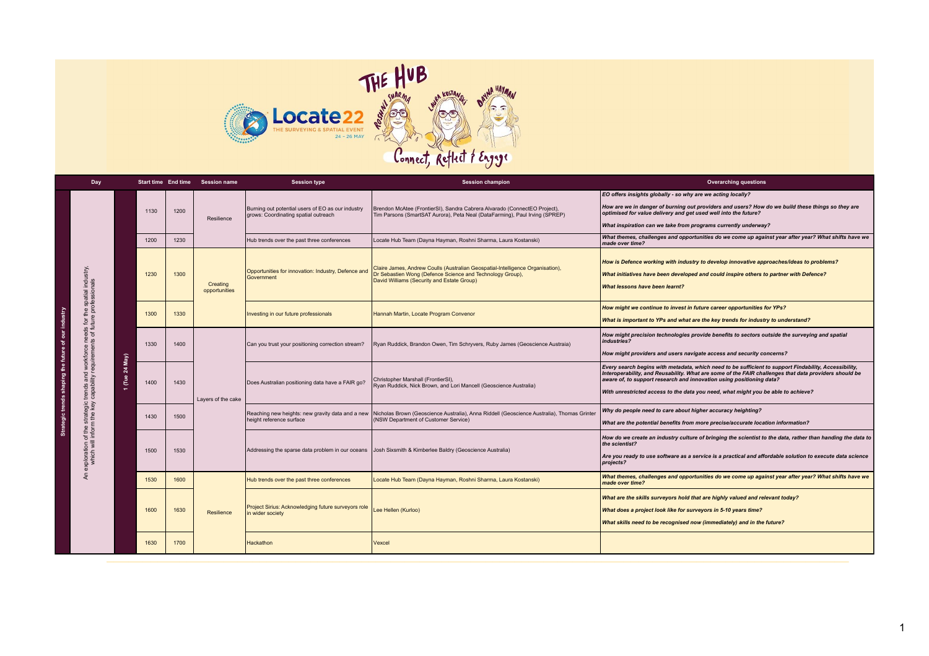

|  | Day                                                       |                       |      |      | Start time End time Session name | <b>Session type</b>                                                                       | <b>Session champion</b>                                                                                                                                                                   | <b>Overarching questions</b>                                                                                                                                                                                                                                                                                                                                                |
|--|-----------------------------------------------------------|-----------------------|------|------|----------------------------------|-------------------------------------------------------------------------------------------|-------------------------------------------------------------------------------------------------------------------------------------------------------------------------------------------|-----------------------------------------------------------------------------------------------------------------------------------------------------------------------------------------------------------------------------------------------------------------------------------------------------------------------------------------------------------------------------|
|  |                                                           |                       | 1130 | 1200 | Resilience                       | Burning out potential users of EO as our industry<br>grows: Coordinating spatial outreach | Brendon McAtee (FrontierSI), Sandra Cabrera Alvarado (ConnectEO Project),<br>Tim Parsons (SmartSAT Aurora), Peta Neal (DataFarming), Paul Irving (SPREP)                                  | EO offers insights globally - so why are we acting locally?<br>How are we in danger of burning out providers and users? How do we build these things so they are<br>optimised for value delivery and get used well into the future?<br>What inspiration can we take from programs currently underway?                                                                       |
|  |                                                           |                       | 1200 | 1230 |                                  | Hub trends over the past three conferences                                                | Locate Hub Team (Dayna Hayman, Roshni Sharma, Laura Kostanski)                                                                                                                            | What themes, challenges and opportunities do we come up against year after year? What shifts have we<br>made over time?                                                                                                                                                                                                                                                     |
|  | the spatial industry,<br>e professionals                  |                       | 1230 | 1300 | Creating<br>opportunities        | Opportunities for innovation: Industry, Defence and<br>Government                         | Claire James, Andrew Coulls (Australian Geospatial-Intelligence Organisation),<br>Dr Sebastien Wong (Defence Science and Technology Group),<br>David Williams (Security and Estate Group) | How is Defence working with industry to develop innovative approaches/ideas to problems?<br>What initiatives have been developed and could inspire others to partner with Defence?<br>What lessons have been learnt?                                                                                                                                                        |
|  | eds for th<br>of future p                                 |                       | 1300 | 1330 |                                  | Investing in our future professionals                                                     | Hannah Martin, Locate Program Convenor                                                                                                                                                    | How might we continue to invest in future career opportunities for YPs?<br>What is important to YPs and what are the key trends for industry to understand?                                                                                                                                                                                                                 |
|  |                                                           | $M$ ay)               | 1330 | 1400 | Lavers of the cake               | Can you trust your positioning correction stream?                                         | Ryan Ruddick, Brandon Owen, Tim Schryvers, Ruby James (Geoscience Austraia)                                                                                                               | How might precision technologies provide benefits to sectors outside the surveying and spatial<br>industries?<br>How might providers and users navigate access and security concerns?                                                                                                                                                                                       |
|  | trends and workforce ne<br>capability requirements        | $\boldsymbol{z}$<br>å | 1400 | 1430 |                                  | Does Australian positioning data have a FAIR go?                                          | Christopher Marshall (FrontierSI),<br>Ryan Ruddick, Nick Brown, and Lori Mancell (Geoscience Australia)                                                                                   | Every search begins with metadata, which need to be sufficient to support Findability, Accessibility,<br>Interoperability, and Reusability. What are some of the FAIR challenges that data providers should be<br>aware of, to support research and innovation using positioning data?<br>With unrestricted access to the data you need, what might you be able to achieve? |
|  |                                                           |                       | 1430 | 1500 |                                  | Reaching new heights: new gravity data and a new<br>height reference surface              | Nicholas Brown (Geoscience Australia), Anna Riddell (Geoscience Australia), Thomas Grinter<br>(NSW Department of Customer Service)                                                        | Why do people need to care about higher accuracy heighting?<br>What are the potential benefits from more precise/accurate location information?                                                                                                                                                                                                                             |
|  | exploration of the strategic<br>which will inform the key |                       | 1500 | 1530 |                                  | Addressing the sparse data problem in our oceans                                          | Josh Sixsmith & Kimberlee Baldry (Geoscience Australia)                                                                                                                                   | How do we create an industry culture of bringing the scientist to the data, rather than handing the data to<br>the scientist?<br>Are you ready to use software as a service is a practical and affordable solution to execute data science<br>projects?                                                                                                                     |
|  | £                                                         |                       | 1530 | 1600 | Resilience                       | Hub trends over the past three conferences                                                | Locate Hub Team (Dayna Hayman, Roshni Sharma, Laura Kostanski)                                                                                                                            | What themes, challenges and opportunities do we come up against year after year? What shifts have we<br>made over time?                                                                                                                                                                                                                                                     |
|  |                                                           |                       | 1600 | 1630 |                                  | Project Sirius: Acknowledging future surveyors role<br>in wider society                   | Lee Hellen (Kurloo)                                                                                                                                                                       | What are the skills surveyors hold that are highly valued and relevant today?<br>What does a project look like for surveyors in 5-10 years time?<br>What skills need to be recognised now (immediately) and in the future?                                                                                                                                                  |
|  |                                                           |                       | 1630 | 1700 |                                  | Hackathon                                                                                 | Vexcel                                                                                                                                                                                    |                                                                                                                                                                                                                                                                                                                                                                             |